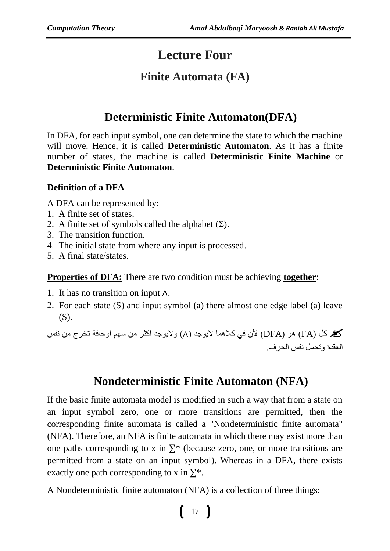# **Lecture Four**

### **Finite Automata (FA)**

# **Deterministic Finite Automaton(DFA)**

In DFA, for each input symbol, one can determine the state to which the machine will move. Hence, it is called **Deterministic Automaton**. As it has a finite number of states, the machine is called **Deterministic Finite Machine** or **Deterministic Finite Automaton**.

#### **Definition of a DFA**

A DFA can be represented by:

- 1. A finite set of states.
- 2. A finite set of symbols called the alphabet  $(\Sigma)$ .
- 3. The transition function.
- 4. The initial state from where any input is processed.
- 5. A final state/states.

**Properties of DFA:** There are two condition must be achieving **together**:

- 1. It has no transition on input ∧.
- 2. For each state (S) and input symbol (a) there almost one edge label (a) leave (S).

 كل )FA )هو )DFA )ألن في كالهما اليوجد )∧( واليوجد اكثر من سهم اوحافة تخرج من نفس العقدة وتحمل نفس الحرف.

## **Nondeterministic Finite Automaton (NFA)**

If the basic finite automata model is modified in such a way that from a state on an input symbol zero, one or more transitions are permitted, then the corresponding finite automata is called a "Nondeterministic finite automata" (NFA). Therefore, an NFA is finite automata in which there may exist more than one paths corresponding to x in  $\Sigma^*$  (because zero, one, or more transitions are permitted from a state on an input symbol). Whereas in a DFA, there exists exactly one path corresponding to x in  $\Sigma^*$ .

A Nondeterministic finite automaton (NFA) is a collection of three things: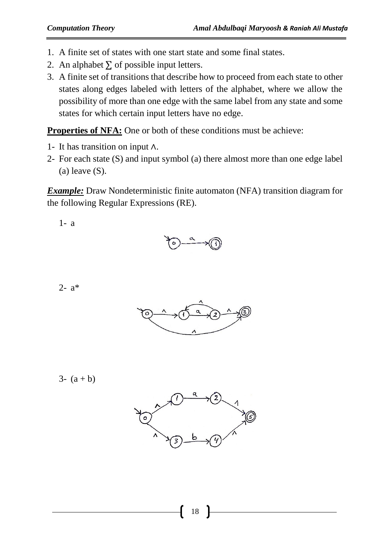- 1. A finite set of states with one start state and some final states.
- 2. An alphabet  $\Sigma$  of possible input letters.
- 3. A finite set of transitions that describe how to proceed from each state to other states along edges labeled with letters of the alphabet, where we allow the possibility of more than one edge with the same label from any state and some states for which certain input letters have no edge.

**Properties of NFA:** One or both of these conditions must be achieve:

- 1- It has transition on input ∧.
- 2- For each state (S) and input symbol (a) there almost more than one edge label  $(a)$  leave  $(S)$ .

*Example:* Draw Nondeterministic finite automaton (NFA) transition diagram for the following Regular Expressions (RE).

1- a



2- a\*



3-  $(a + b)$